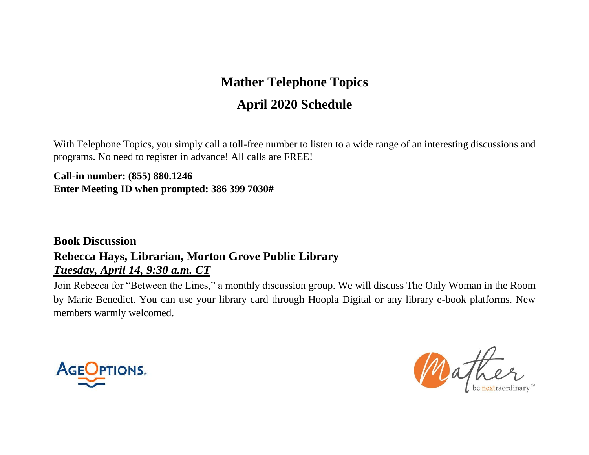# **Mather Telephone Topics April 2020 Schedule**

With Telephone Topics, you simply call a toll-free number to listen to a wide range of an interesting discussions and programs. No need to register in advance! All calls are FREE!

**Call-in number: (855) 880.1246 Enter Meeting ID when prompted: 386 399 7030#**

#### **Book Discussion Rebecca Hays, Librarian, Morton Grove Public Library** *Tuesday, April 14, 9:30 a.m. CT*

Join Rebecca for "Between the Lines," a monthly discussion group. We will discuss The Only Woman in the Room by Marie Benedict. You can use your library card through Hoopla Digital or any library e-book platforms. New members warmly welcomed.